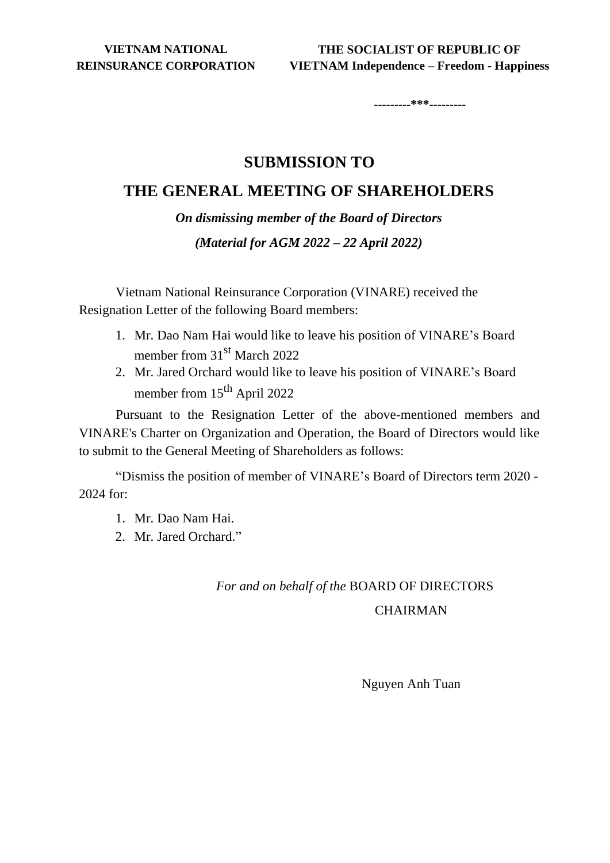**---------\*\*\*---------**

### **SUBMISSION TO**

## **THE GENERAL MEETING OF SHAREHOLDERS**

*On dismissing member of the Board of Directors (Material for AGM 2022 – 22 April 2022)*

Vietnam National Reinsurance Corporation (VINARE) received the Resignation Letter of the following Board members:

- 1. Mr. Dao Nam Hai would like to leave his position of VINARE's Board member from 31<sup>st</sup> March 2022
- 2. Mr. Jared Orchard would like to leave his position of VINARE's Board member from 15<sup>th</sup> April 2022

Pursuant to the Resignation Letter of the above-mentioned members and VINARE's Charter on Organization and Operation, the Board of Directors would like to submit to the General Meeting of Shareholders as follows:

"Dismiss the position of member of VINARE's Board of Directors term 2020 - 2024 for:

- 1. Mr. Dao Nam Hai.
- 2. Mr. Jared Orchard."

# *For and on behalf of the* BOARD OF DIRECTORS

### **CHAIRMAN**

Nguyen Anh Tuan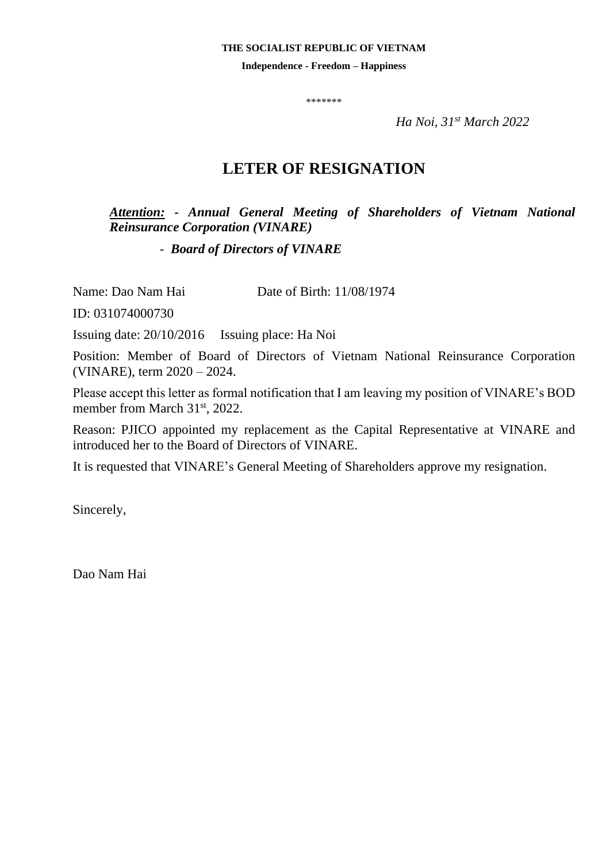#### **THE SOCIALIST REPUBLIC OF VIETNAM**

**Independence - Freedom – Happiness**

\*\*\*\*\*\*\*

*Ha Noi, 31st March 2022*

# **LETER OF RESIGNATION**

*Attention:* **-** *Annual General Meeting of Shareholders of Vietnam National Reinsurance Corporation (VINARE)* 

 *- Board of Directors of VINARE*

Name: Dao Nam Hai Date of Birth: 11/08/1974

ID: 031074000730

Issuing date: 20/10/2016 Issuing place: Ha Noi

Position: Member of Board of Directors of Vietnam National Reinsurance Corporation (VINARE), term 2020 – 2024.

Please accept this letter as formal notification that I am leaving my position of VINARE's BOD member from March 31<sup>st</sup>, 2022.

Reason: PJICO appointed my replacement as the Capital Representative at VINARE and introduced her to the Board of Directors of VINARE.

It is requested that VINARE's General Meeting of Shareholders approve my resignation.

Sincerely,

Dao Nam Hai